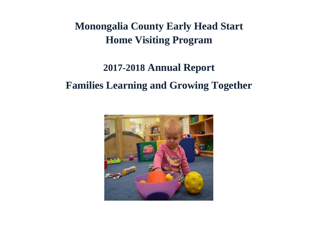## **Monongalia County Early Head Start Home Visiting Program**

## **2017-2018 Annual Report Families Learning and Growing Together**

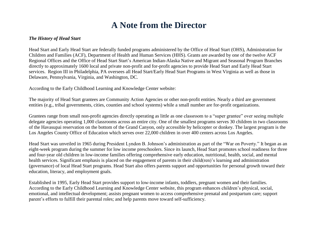#### **A Note from the Director**

#### *The History of Head Start*

Head Start and Early Head Start are federally funded programs administered by the Office of Head Start (OHS), Administration for Children and Families (ACF), Department of Health and Human Services (HHS). Grants are awarded by one of the twelve ACF Regional Offices and the Office of Head Start Start's American Indian-Alaska Native and Migrant and Seasonal Program Branches directly to approximately 1600 local and private non-profit and for-profit agencies to provide Head Start and Early Head Start services. Region III in Philadelphia, PA oversees all Head Start/Early Head Start Programs in West Virginia as well as those in Delaware, Pennsylvania, Virginia, and Washington, DC.

According to the Early Childhood Learning and Knowledge Center website:

The majority of Head Start grantees are Community Action Agencies or other non-profit entities. Nearly a third are government entities (e.g., tribal governments, cities, counties and school systems) while a small number are for-profit organizations.

Grantees range from small non-profit agencies directly operating as little as one classroom to a "super grantee" over seeing multiple delegate agencies operating 1,000 classrooms across an entire city. One of the smallest programs serves 30 children in two classrooms of the Havasupai reservation on the bottom of the Grand Canyon, only accessible by helicopter or donkey. The largest program is the Los Angeles County Office of Education which serves over 22,000 children in over 400 centers across Los Angeles.

Head Start was unveiled in 1965 during President Lyndon B. Johnson's administration as part of the "War on Poverty." It began as an eight-week program during the summer for low income preschoolers. Since its launch, Head Start promotes school readiness for three and four-year old children in low-income families offering comprehensive early education, nutritional, health, social, and mental health services. Significant emphasis is placed on the engagement of parents in their child(ren)'s learning and administration (governance) of local Head Start programs. Head Start also offers parents support and opportunities for personal growth toward their education, literacy, and employment goals.

Established in 1995, Early Head Start provides support to low-income infants, toddlers, pregnant women and their families. According to the Early Childhood Learning and Knowledge Center website, this program enhances children's physical, social, emotional, and intellectual development; assists pregnant women to access comprehensive prenatal and postpartum care; support parent's efforts to fulfill their parental roles; and help parents move toward self-sufficiency.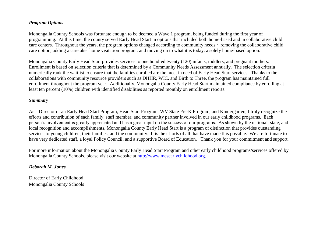#### *Program Options*

Monongalia County Schools was fortunate enough to be deemed a Wave 1 program, being funded during the first year of programming. At this time, the county served Early Head Start in options that included both home-based and in collaborative child care centers. Throughout the years, the program options changed according to community needs ~ removing the collaborative child care option, adding a caretaker home visitation program, and moving on to what it is today, a solely home-based option.

Monongalia County Early Head Start provides services to one hundred twenty (120) infants, toddlers, and pregnant mothers. Enrollment is based on selection criteria that is determined by a Community Needs Assessment annually. The selection criteria numerically rank the waitlist to ensure that the families enrolled are the most in need of Early Head Start services. Thanks to the collaborations with community resource providers such as DHHR, WIC, and Birth to Three, the program has maintained full enrollment throughout the program year. Additionally, Monongalia County Early Head Start maintained compliance by enrolling at least ten percent (10%) children with identified disabilities as reported monthly on enrollment reports.

#### *Summary*

As a Director of an Early Head Start Program, Head Start Program, WV State Pre-K Program, and Kindergarten, I truly recognize the efforts and contribution of each family, staff member, and community partner involved in our early childhood programs. Each person's involvement is greatly appreciated and has a great input on the success of our programs. As shown by the national, state, and local recognition and accomplishments, Monongalia County Early Head Start is a program of distinction that provides outstanding services to young children, their families, and the community. It is the efforts of all that have made this possible. We are fortunate to have very dedicated staff, a loyal Policy Council, and a supportive Board of Education. Thank you for your commitment and support.

For more information about the Monongalia County Early Head Start Program and other early childhood programs/services offered by Monongalia County Schools, please visit our website at [http://www.mcsearlychildhood.org.](http://www.mcsearlychildhood.org/)

#### *Deborah M. Jones*

Director of Early Childhood Monongalia County Schools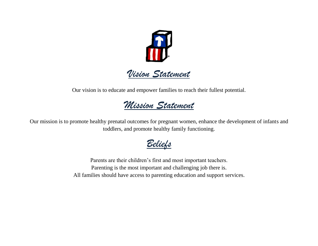

Our vision is to educate and empower families to reach their fullest potential.

### *Mission Statement*

Our mission is to promote healthy prenatal outcomes for pregnant women, enhance the development of infants and toddlers, and promote healthy family functioning.

*Beliefs*

Parents are their children's first and most important teachers. Parenting is the most important and challenging job there is. All families should have access to parenting education and support services.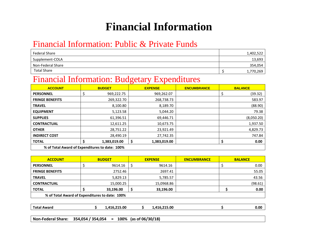## **Financial Information**

#### Financial Information: Public & Private Funds

| Federal Share      | 1,402,522 |
|--------------------|-----------|
| Supplement-COLA    | 13,693    |
| Non-Federal Share  | 354,054   |
| <b>Total Share</b> | 1,770,269 |

#### Financial Information: Budgetary Expenditures

| <b>ACCOUNT</b>                                 | <b>BUDGET</b>     | <b>EXPENSE</b>    | <b>ENCUMBRANCE</b> | <b>BALANCE</b> |  |  |
|------------------------------------------------|-------------------|-------------------|--------------------|----------------|--|--|
| <b>PERSONNEL</b>                               | \$<br>969,222.75  | 969,262.07        |                    | (39.32)        |  |  |
| <b>FRINGE BENEFITS</b>                         | 269,322.70        | 268,738.73        |                    | 583.97         |  |  |
| <b>TRAVEL</b>                                  | 8,100.80          | 8,189.70          |                    | (88.90)        |  |  |
| <b>EQUIPMENT</b>                               | 5,123.58          | 5,044.20          |                    | 79.38          |  |  |
| <b>SUPPLIES</b>                                | 61,396.51         | 69,446.71         |                    | (8,050.20)     |  |  |
| <b>CONTRACTUAL</b>                             | 12,611.25         | 10,673.75         |                    | 1,937.50       |  |  |
| <b>OTHER</b>                                   | 28,751.22         | 23,921.49         |                    | 4,829.73       |  |  |
| <b>INDIRECT COST</b>                           | 28,490.19         | 27,742.35         |                    | 747.84         |  |  |
| <b>TOTAL</b>                                   | Ś<br>1,383,019.00 | Ś<br>1,383,019.00 |                    | 0.00           |  |  |
| % of Total Award of Expenditures to date: 100% |                   |                   |                    |                |  |  |

| <b>ACCOUNT</b>                                 | <b>BUDGET</b> | <b>EXPENSE</b>  | <b>ENCUMBRANCE</b> | <b>BALANCE</b> |
|------------------------------------------------|---------------|-----------------|--------------------|----------------|
| <b>PERSONNEL</b>                               | 9614.16       | \$<br>9614.16   |                    | 0.00           |
| <b>FRINGE BENEFITS</b>                         | 2752.46       | 2697.41         |                    | 55.05          |
| <b>TRAVEL</b>                                  | 5,829.13      | 5,785.57        |                    | 43.56          |
| <b>CONTRACTUAL</b>                             | 15,000.25     | 15,0968.86      |                    | (98.61)        |
| <b>TOTAL</b>                                   | 33,196.00     | \$<br>33,196.00 |                    | 0.00           |
| % of Total Award of Expenditures to date: 100% |               |                 |                    |                |
|                                                |               |                 |                    |                |
|                                                |               |                 |                    |                |

| Total Award | .416.215.00 | .416.215.00 | 0.00 |
|-------------|-------------|-------------|------|
|             |             |             |      |

**Non-Federal Share: 354,054 / 354,054 = 100% (as of 06/30/18)**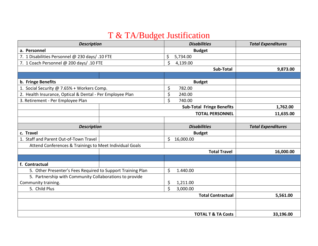### T & TA/Budget Justification

| <b>Description</b>                                          |                    | <b>Disabilities</b>              | <b>Total Expenditures</b> |
|-------------------------------------------------------------|--------------------|----------------------------------|---------------------------|
| a. Personnel                                                |                    | <b>Budget</b>                    |                           |
| 7. 1 Disabilities Personnel @ 230 days/ .10 FTE             | \$                 | 5,734.00                         |                           |
| 7. 1 Coach Personnel @ 200 days/ .10 FTE                    | $\mathsf{\dot{S}}$ | 4,139.00                         |                           |
|                                                             |                    | Sub-Total                        | 9,873.00                  |
|                                                             |                    |                                  |                           |
| b. Fringe Benefits                                          |                    | <b>Budget</b>                    |                           |
| 1. Social Security @ 7.65% + Workers Comp.                  | \$                 | 782.00                           |                           |
| 2. Health Insurance, Optical & Dental - Per Employee Plan   | \$                 | 240.00                           |                           |
| 3. Retirement - Per Employee Plan                           | $\zeta$            | 740.00                           |                           |
|                                                             |                    | <b>Sub-Total Fringe Benefits</b> | 1,762.00                  |
|                                                             |                    | <b>TOTAL PERSONNEL</b>           | 11,635.00                 |
|                                                             |                    |                                  |                           |
| <b>Description</b>                                          |                    | <b>Disabilities</b>              | <b>Total Expenditures</b> |
| c. Travel                                                   |                    | <b>Budget</b>                    |                           |
| 1. Staff and Parent Out-of-Town Travel                      | $\mathsf{S}^-$     | 16,000.00                        |                           |
| Attend Conferences & Trainings to Meet Individual Goals     |                    |                                  |                           |
|                                                             |                    | <b>Total Travel</b>              | 16,000.00                 |
|                                                             |                    |                                  |                           |
| f. Contractual                                              |                    |                                  |                           |
| 5. Other Presenter's Fees Required to Support Training Plan | \$                 | 1.440.00                         |                           |
| 5. Partnership with Community Collaborations to provide     |                    |                                  |                           |
| Community training.                                         | \$                 | 1,211.00                         |                           |
| 5. Child Plus                                               | $\mathsf{\dot{S}}$ | 3,000.00                         |                           |
|                                                             |                    | <b>Total Contractual</b>         | 5,561.00                  |
|                                                             |                    |                                  |                           |
|                                                             |                    |                                  |                           |
|                                                             |                    | <b>TOTAL T &amp; TA Costs</b>    | 33,196.00                 |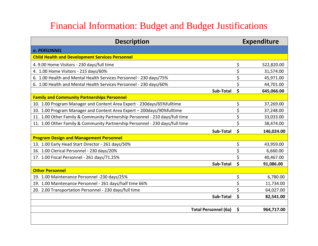### Financial Information: Budget and Budget Justifications

| <b>Description</b>                                                           |           | <b>Expenditure</b> |
|------------------------------------------------------------------------------|-----------|--------------------|
| a. PERSONNEL                                                                 |           |                    |
| <b>Child Health and Development Services Personnel</b>                       |           |                    |
| 4. 9.00 Home Visitors - 230 days/full time                                   |           | \$<br>522,820.00   |
| 4. 1.00 Home Visitors - 215 days/60%                                         |           | \$<br>31,574.00    |
| 6. 1.00 Health and Mental Health Services Personnel - 230 days/75%           |           | \$<br>45,971.00    |
| 6. 1.00 Health and Mental Health Services Personnel - 230 days/60%           |           | \$<br>44,701.00    |
|                                                                              | Sub-Total | \$<br>645,066.00   |
| <b>Family and Community Partnerships Personnel</b>                           |           |                    |
| 10. 1.00 Program Manager and Content Area Expert - 230days/65%fulltime       |           | \$<br>37,269.00    |
| 10. 1.00 Program Manager and Content Area Expert - 200days/90%fulltime       |           | \$<br>37,248.00    |
| 11. 1.00 Other Family & Community Partnership Personnel - 210 days/full time |           | \$<br>33,033.00    |
| 11. 1.00 Other Family & Community Partnership Personnel - 230 days/full time |           | \$<br>38,474.00    |
|                                                                              | Sub-Total | \$<br>146,024.00   |
| <b>Program Design and Management Personnel</b>                               |           |                    |
| 13. 1.00 Early Head Start Director - 261 days/50%                            |           | \$<br>43,959.00    |
| 16. 1.00 Clerical Personnel - 230 days/20%                                   |           | \$<br>6,660.00     |
| 17. 1.00 Fiscal Personnel - 261 days/71.25%                                  |           | \$<br>40,467.00    |
|                                                                              | Sub-Total | Ś<br>91,086.00     |
| <b>Other Personnel</b>                                                       |           |                    |
| 19. 1.00 Maintenance Personnel -230 days/25%                                 |           | \$<br>6,780.00     |
| 19. 1.00 Maintenance Personnel - 261 days/half time 66%                      |           | \$<br>11,734.00    |
| 20. 2.00 Transportation Personnel - 230 days/full time                       |           | \$<br>64,027.00    |
|                                                                              | Sub-Total | \$<br>82,541.00    |
| <b>Total Personnel (6a)</b>                                                  |           | \$<br>964,717.00   |
|                                                                              |           |                    |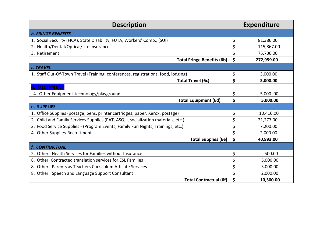| <b>Description</b>                                                                 |    | <b>Expenditure</b> |
|------------------------------------------------------------------------------------|----|--------------------|
| <b>b. FRINGE BENEFITS</b>                                                          |    |                    |
| 1. Social Security (FICA), State Disability, FUTA, Workers' Comp., (SUI)           |    | 81,386.00          |
| 2. Health/Dental/Optical/Life Insurance                                            |    | 115,867.00         |
| 3. Retirement                                                                      |    | 75,706.00          |
| <b>Total Fringe Benefits (6b)</b>                                                  | \$ | 272,959.00         |
| c. TRAVEL                                                                          |    |                    |
| 1. Staff Out-Of-Town Travel (Training, conferences, registrations, food, lodging)  | \$ | 3,000.00           |
| <b>Total Travel (6c)</b>                                                           | \$ | 3,000.00           |
| d. EOUIPMENT                                                                       |    |                    |
| 4. Other Equipment-technology/playground                                           | \$ | 5,000.00           |
| <b>Total Equipment (6d)</b>                                                        | \$ | 5,000.00           |
| e. SUPPLIES                                                                        |    |                    |
| 1. Office Supplies (postage, pens, printer cartridges, paper, Xerox, postage)      |    | 10,416.00          |
| 2. Child and Family Services Supplies (PAT, ASQIII, socialization materials, etc.) |    | 21,277.00          |
| 3. Food Service Supplies - (Program Events, Family Fun Nights, Trainings, etc.)    |    | 7,200.00           |
| 4. Other Supplies-Recruitment                                                      |    | 2,000.00           |
| <b>Total Supplies (6e)</b>                                                         | \$ | 40,893.00          |
| f. CONTRACTUAL                                                                     |    |                    |
| 2. Other: Health Services for Families without Insurance                           |    | 500.00             |
| 8. Other: Contracted translation services for ESL Families                         |    | 5,000.00           |
| 8. Other: Parents as Teachers Curriculum Affiliate Services                        |    | 3,000.00           |
| 8. Other: Speech and Language Support Consultant                                   |    | 2,000.00           |
| <b>Total Contractual (6f)</b>                                                      | Ś  | 10,500.00          |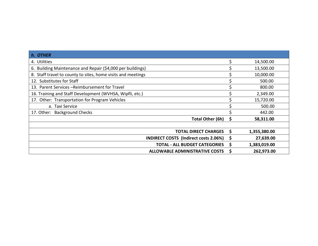| h. OTHER                                                     |   |              |
|--------------------------------------------------------------|---|--------------|
| 4. Utilities                                                 |   | 14,500.00    |
| 6. Building Maintenance and Repair (\$4,000 per buildings)   |   | 13,500.00    |
| 8. Staff travel to county to sites, home visits and meetings |   | 10,000.00    |
| 12. Substitutes for Staff                                    |   | 500.00       |
| 13. Parent Services - Reimbursement for Travel               |   | 800.00       |
| 16. Training and Staff Development (WVHSA, Wipfli, etc.)     |   | 2,349.00     |
| 17. Other: Transportation for Program Vehicles               |   | 15,720.00    |
| a. Taxi Service                                              |   | 500.00       |
| 17. Other: Background Checks                                 |   | 442.00       |
| Total Other (6h)                                             | S | 58,311.00    |
|                                                              |   |              |
| <b>TOTAL DIRECT CHARGES</b>                                  | S | 1,355,380.00 |
| INDIRECT COSTS (Indirect costs 2.06%)                        | S | 27,639.00    |
| <b>TOTAL - ALL BUDGET CATEGORIES</b>                         | S | 1,383,019.00 |
| <b>ALLOWABLE ADMINISTRATIVE COSTS</b>                        |   | 262,973.00   |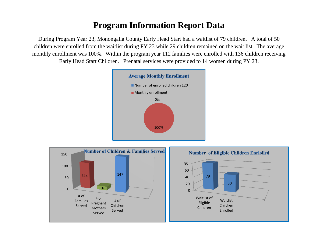#### **Program Information Report Data**

During Program Year 23, Monongalia County Early Head Start had a waitlist of 79 children. A total of 50 children were enrolled from the waitlist during PY 23 while 29 children remained on the wait list. The average monthly enrollment was 100%. Within the program year 112 families were enrolled with 136 children receiving Early Head Start Children. Prenatal services were provided to 14 women during PY 23.



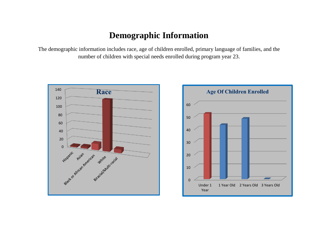#### **Demographic Information**

The demographic information includes race, age of children enrolled, primary language of families, and the number of children with special needs enrolled during program year 23.



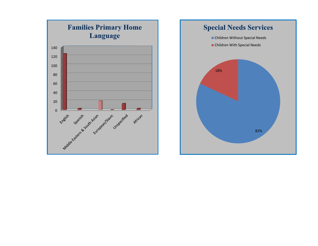

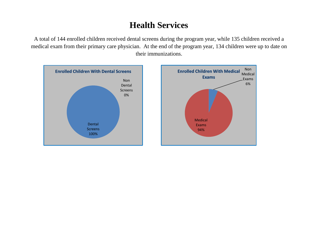### **Health Services**

A total of 144 enrolled children received dental screens during the program year, while 135 children received a medical exam from their primary care physician. At the end of the program year, 134 children were up to date on their immunizations.

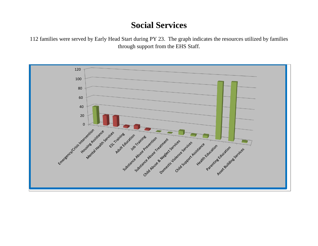#### **Social Services**

 families were served by Early Head Start during PY 23. The graph indicates the resources utilized by families through support from the EHS Staff.

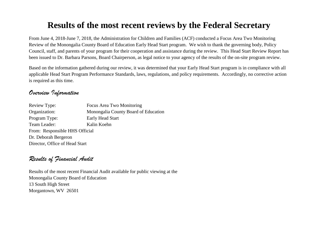#### **Results of the most recent reviews by the Federal Secretary**

From June 4, 2018-June 7, 2018, the Administration for Children and Families (ACF) conducted a Focus Area Two Monitoring Review of the Monongalia County Board of Education Early Head Start program. We wish to thank the governing body, Policy Council, staff, and parents of your program for their cooperation and assistance during the review. This Head Start Review Report has been issued to Dr. Barbara Parsons, Board Chairperson, as legal notice to your agency of the results of the on-site program review.

Based on the information gathered during our review, it was determined that your Early Head Start program is in compliance with all applicable Head Start Program Performance Standards, laws, regulations, and policy requirements. Accordingly, no corrective action is required as this time.

#### *Overview Information*

| <b>Review Type:</b>            | Focus Area Two Monitoring            |
|--------------------------------|--------------------------------------|
| Organization:                  | Monongalia County Board of Education |
| Program Type:                  | Early Head Start                     |
| Team Leader:                   | Kalin Koehn                          |
| From: Responsible HHS Official |                                      |
| Dr. Deborah Bergeron           |                                      |
| Director, Office of Head Start |                                      |

#### *Results of Financial Audit*

Results of the most recent Financial Audit available for public viewing at the Monongalia County Board of Education 13 South High Street Morgantown, WV 26501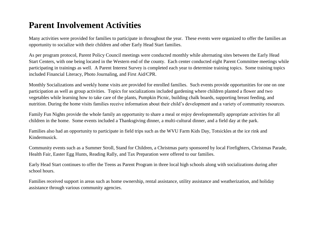#### **Parent Involvement Activities**

Many activities were provided for families to participate in throughout the year. These events were organized to offer the families an opportunity to socialize with their children and other Early Head Start families.

As per program protocol, Parent Policy Council meetings were conducted monthly while alternating sites between the Early Head Start Centers, with one being located in the Western end of the county. Each center conducted eight Parent Committee meetings while participating in trainings as well. A Parent Interest Survey is completed each year to determine training topics. Some training topics included Financial Literacy, Photo Journaling, and First Aid/CPR.

Monthly Socializations and weekly home visits are provided for enrolled families. Such events provide opportunities for one on one participation as well as group activities. Topics for socializations included gardening where children planted a flower and two vegetables while learning how to take care of the plants, Pumpkin Picnic, building chalk boards, supporting breast feeding, and nutrition. During the home visits families receive information about their child's development and a variety of community resources.

Family Fun Nights provide the whole family an opportunity to share a meal or enjoy developmentally appropriate activities for all children in the home. Some events included a Thanksgiving dinner, a multi-cultural dinner, and a field day at the park.

Families also had an opportunity to participate in field trips such as the WVU Farm Kids Day, Totsickles at the ice rink and Kindermusick.

Community events such as a Summer Stroll, Stand for Children, a Christmas party sponsored by local Firefighters, Christmas Parade, Health Fair, Easter Egg Hunts, Reading Rally, and Tax Preparation were offered to our families.

Early Head Start continues to offer the Teens as Parent Program in three local high schools along with socializations during after school hours.

Families received support in areas such as home ownership, rental assistance, utility assistance and weatherization, and holiday assistance through various community agencies.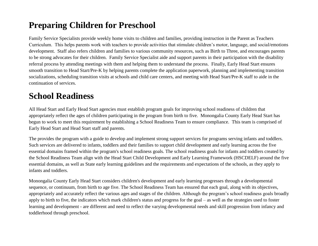### **Preparing Children for Preschool**

Family Service Specialists provide weekly home visits to children and families, providing instruction in the Parent as Teachers Curriculum. This helps parents work with teachers to provide activities that stimulate children's motor, language, and social/emotions development. Staff also refers children and families to various community resources, such as Birth to Three, and encourages parents to be strong advocates for their children. Family Service Specialist aide and support parents in their participation with the disability referral process by attending meetings with them and helping them to understand the process. Finally, Early Head Start ensures smooth transition to Head Start/Pre-K by helping parents complete the application paperwork, planning and implementing transition socializations, scheduling transition visits at schools and child care centers, and meeting with Head Start/Pre-K staff to aide in the continuation of services.

#### **School Readiness**

All Head Start and Early Head Start agencies must establish program goals for improving school readiness of children that appropriately reflect the ages of children participating in the program from birth to five. Monongalia County Early Head Start has begun to work to meet this requirement by establishing a School Readiness Team to ensure compliance. This team is comprised of Early Head Start and Head Start staff and parents.

The provides the program with a guide to develop and implement strong support services for programs serving infants and toddlers. Such services are delivered to infants, toddlers and their families to support child development and early learning across the five essential domains framed within the program's school readiness goals. The school readiness goals for infants and toddlers created by the School Readiness Team align with the [Head Start Child Development and Early Learning Framework](http://eclkc.ohs.acf.hhs.gov/hslc/tta-system/teaching/eecd/Assessment/Child%20Outcomes/revised-child-outcomes.html) (HSCDELF) around the five essential domains, as well as State early learning guidelines and the requirements and expectations of the schools, as they apply to infants and toddlers.

Monongalia County Early Head Start considers children's development and early learning progresses through a developmental sequence, or continuum, from birth to age five. The School Readiness Team has ensured that each goal, along with its objectives, appropriately and accurately reflect the various ages and stages of the children. Although the program's school readiness goals broadly apply to birth to five, the indicators which mark children's status and progress for the goal – as well as the strategies used to foster learning and development - are different and need to reflect the varying developmental needs and skill progression from infancy and toddlerhood through preschool.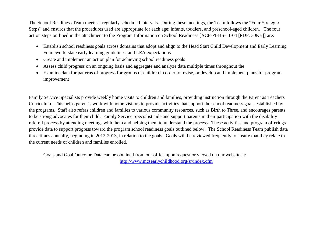The School Readiness Team meets at regularly scheduled intervals. During these meetings, the Team follows the "Four Strategic Steps" and ensures that the procedures used are appropriate for each age: infants, toddlers, and preschool-aged children. The four action steps outlined in the attachment to the Program Information on School Readiness [\[ACF-PI-HS-11-04](http://eclkc.ohs.acf.hhs.gov/hslc/standards/IMs_and_PIs_in_PDF/PDF_PIs/PI2011/ACF-PI-HS-11-04.pdf) [PDF, 30KB]] are:

- Establish school readiness goals across domains that adopt and align to the Head Start Child Development and Early Learning Framework, state early learning guidelines, and LEA expectations
- Create and implement an action plan for achieving school readiness goals
- Assess child progress on an ongoing basis and aggregate and analyze data multiple times throughout the
- Examine data for patterns of progress for groups of children in order to revise, or develop and implement plans for program improvement

Family Service Specialists provide weekly home visits to children and families, providing instruction through the Parent as Teachers Curriculum. This helps parent's work with home visitors to provide activities that support the school readiness goals established by the programs. Staff also refers children and families to various community resources, such as Birth to Three, and encourages parents to be strong advocates for their child. Family Service Specialist aide and support parents in their participation with the disability referral process by attending meetings with them and helping them to understand the process. These activities and program offerings provide data to support progress toward the program school readiness goals outlined below. The School Readiness Team publish data three times annually, beginning in 2012-2013, in relation to the goals. Goals will be reviewed frequently to ensure that they relate to the current needs of children and families enrolled.

Goals and Goal Outcome Data can be obtained from our office upon request or viewed on our website at: <http://www.mcsearlychildhood.org/sr/index.cfm>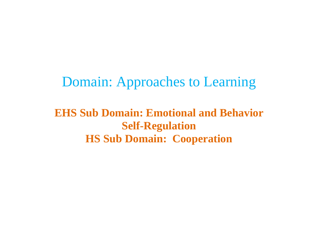Domain: Approaches to Learning

**EHS Sub Domain: Emotional and Behavior Self-Regulation HS Sub Domain: Cooperation**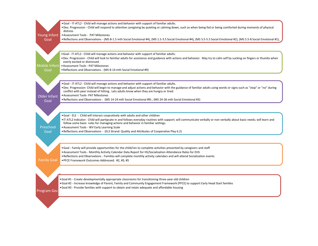| . Goal - IT-ATL2 - Child will manage actions and behavior with support of familiar adults.<br>. Dev. Progression - Child will respond to attentive caregiving by quieting or calming down, such as when being fed or being comforted during moments of physical<br>distress<br>Young Infant<br>• Assessment Tools - PAT Milestones<br>Goal<br>• Reflections and Observations - (MS B-1.5 mth Social Emotional #4), (MS 1.5-3.5 Social Emotional #4), (MS 3.5-5.5 Social Emotional #2), (MS 5.5-8 Social Emotional #1),<br>. Goal - IT-ATL2 - Child will manage actions and behavior with support of familiar adults.<br>. Dev. Progression - Child will look to familiar adults for assistance and guidance with actions and behavior. May try to calm self by sucking on fingers or thumbs when<br>overly excited or distressed.<br>• Assessment Tools - PAT Milestones<br>Mobile Infant  <br>Goal<br>• Reflections and Observations - (MS 8-14 mth Social Emotional #9)<br>. Goal - IT-ATL2 - Child will manage actions and behavior with support of familiar adults.<br>. Dev. Progression- Child will begin to manage and adjust actions and behavior with the guidance of familiar adults using words or signs such as "stop" or "no" during<br>conflict with peer instead of hitting. Lets adults know when they are hungry or tired.<br>• Assessment Tools- PAT Milestones<br>Older Infant<br>• Reflections and Observations - (MS 14-24 mth Social Emotional #9) ; (MS 24-36 mth Social Emotional #3)<br>Goal<br>. Goal - ELS - Child will interact coopratively with adults and other children<br>follow some basic rules for managing actions and behavior in familiar settings.<br>Preschool<br>• Assessment Tools - WV Early Learning Scale<br>• Reflections and Observations - (ELS Strand: Quality and Attributes of Cooperative Play 6.2)<br>Goal<br>. Goal - Family will provide opportunities for the child/ren to complete activities presented by caregivers and staff<br>• Assessment Tools - Monthly Activity Calendar Data Report for HS/Socialization Attendance Rates for EHS<br>. Reflections and Observations - Families will complete monthly activity calendars and will attend Socialization events<br><b>Family Goal</b><br>. PFCE Framework Outcomes Addressed: #2, #3, #5<br>. Goal #1 - Create developmentally appropriate classrooms for transitioning three-year-old children<br>. Goal #2 - Increase knowledge of Parent, Family and Community Engagement Framework (PFCE) to support Early Head Start families<br>• Goal #3 - Provide families with support to obtain and retain adequate and affordable housing<br><b>Program Goa</b> |                                                                                                                                                                       |
|-----------------------------------------------------------------------------------------------------------------------------------------------------------------------------------------------------------------------------------------------------------------------------------------------------------------------------------------------------------------------------------------------------------------------------------------------------------------------------------------------------------------------------------------------------------------------------------------------------------------------------------------------------------------------------------------------------------------------------------------------------------------------------------------------------------------------------------------------------------------------------------------------------------------------------------------------------------------------------------------------------------------------------------------------------------------------------------------------------------------------------------------------------------------------------------------------------------------------------------------------------------------------------------------------------------------------------------------------------------------------------------------------------------------------------------------------------------------------------------------------------------------------------------------------------------------------------------------------------------------------------------------------------------------------------------------------------------------------------------------------------------------------------------------------------------------------------------------------------------------------------------------------------------------------------------------------------------------------------------------------------------------------------------------------------------------------------------------------------------------------------------------------------------------------------------------------------------------------------------------------------------------------------------------------------------------------------------------------------------------------------------------------------------------------------------------------------------------------------------------------------------------------------------------------------------------------------------------------------------------------------------------------------------------------------|-----------------------------------------------------------------------------------------------------------------------------------------------------------------------|
|                                                                                                                                                                                                                                                                                                                                                                                                                                                                                                                                                                                                                                                                                                                                                                                                                                                                                                                                                                                                                                                                                                                                                                                                                                                                                                                                                                                                                                                                                                                                                                                                                                                                                                                                                                                                                                                                                                                                                                                                                                                                                                                                                                                                                                                                                                                                                                                                                                                                                                                                                                                                                                                                             |                                                                                                                                                                       |
|                                                                                                                                                                                                                                                                                                                                                                                                                                                                                                                                                                                                                                                                                                                                                                                                                                                                                                                                                                                                                                                                                                                                                                                                                                                                                                                                                                                                                                                                                                                                                                                                                                                                                                                                                                                                                                                                                                                                                                                                                                                                                                                                                                                                                                                                                                                                                                                                                                                                                                                                                                                                                                                                             |                                                                                                                                                                       |
|                                                                                                                                                                                                                                                                                                                                                                                                                                                                                                                                                                                                                                                                                                                                                                                                                                                                                                                                                                                                                                                                                                                                                                                                                                                                                                                                                                                                                                                                                                                                                                                                                                                                                                                                                                                                                                                                                                                                                                                                                                                                                                                                                                                                                                                                                                                                                                                                                                                                                                                                                                                                                                                                             |                                                                                                                                                                       |
|                                                                                                                                                                                                                                                                                                                                                                                                                                                                                                                                                                                                                                                                                                                                                                                                                                                                                                                                                                                                                                                                                                                                                                                                                                                                                                                                                                                                                                                                                                                                                                                                                                                                                                                                                                                                                                                                                                                                                                                                                                                                                                                                                                                                                                                                                                                                                                                                                                                                                                                                                                                                                                                                             |                                                                                                                                                                       |
|                                                                                                                                                                                                                                                                                                                                                                                                                                                                                                                                                                                                                                                                                                                                                                                                                                                                                                                                                                                                                                                                                                                                                                                                                                                                                                                                                                                                                                                                                                                                                                                                                                                                                                                                                                                                                                                                                                                                                                                                                                                                                                                                                                                                                                                                                                                                                                                                                                                                                                                                                                                                                                                                             |                                                                                                                                                                       |
|                                                                                                                                                                                                                                                                                                                                                                                                                                                                                                                                                                                                                                                                                                                                                                                                                                                                                                                                                                                                                                                                                                                                                                                                                                                                                                                                                                                                                                                                                                                                                                                                                                                                                                                                                                                                                                                                                                                                                                                                                                                                                                                                                                                                                                                                                                                                                                                                                                                                                                                                                                                                                                                                             |                                                                                                                                                                       |
|                                                                                                                                                                                                                                                                                                                                                                                                                                                                                                                                                                                                                                                                                                                                                                                                                                                                                                                                                                                                                                                                                                                                                                                                                                                                                                                                                                                                                                                                                                                                                                                                                                                                                                                                                                                                                                                                                                                                                                                                                                                                                                                                                                                                                                                                                                                                                                                                                                                                                                                                                                                                                                                                             |                                                                                                                                                                       |
|                                                                                                                                                                                                                                                                                                                                                                                                                                                                                                                                                                                                                                                                                                                                                                                                                                                                                                                                                                                                                                                                                                                                                                                                                                                                                                                                                                                                                                                                                                                                                                                                                                                                                                                                                                                                                                                                                                                                                                                                                                                                                                                                                                                                                                                                                                                                                                                                                                                                                                                                                                                                                                                                             |                                                                                                                                                                       |
|                                                                                                                                                                                                                                                                                                                                                                                                                                                                                                                                                                                                                                                                                                                                                                                                                                                                                                                                                                                                                                                                                                                                                                                                                                                                                                                                                                                                                                                                                                                                                                                                                                                                                                                                                                                                                                                                                                                                                                                                                                                                                                                                                                                                                                                                                                                                                                                                                                                                                                                                                                                                                                                                             |                                                                                                                                                                       |
|                                                                                                                                                                                                                                                                                                                                                                                                                                                                                                                                                                                                                                                                                                                                                                                                                                                                                                                                                                                                                                                                                                                                                                                                                                                                                                                                                                                                                                                                                                                                                                                                                                                                                                                                                                                                                                                                                                                                                                                                                                                                                                                                                                                                                                                                                                                                                                                                                                                                                                                                                                                                                                                                             |                                                                                                                                                                       |
|                                                                                                                                                                                                                                                                                                                                                                                                                                                                                                                                                                                                                                                                                                                                                                                                                                                                                                                                                                                                                                                                                                                                                                                                                                                                                                                                                                                                                                                                                                                                                                                                                                                                                                                                                                                                                                                                                                                                                                                                                                                                                                                                                                                                                                                                                                                                                                                                                                                                                                                                                                                                                                                                             |                                                                                                                                                                       |
|                                                                                                                                                                                                                                                                                                                                                                                                                                                                                                                                                                                                                                                                                                                                                                                                                                                                                                                                                                                                                                                                                                                                                                                                                                                                                                                                                                                                                                                                                                                                                                                                                                                                                                                                                                                                                                                                                                                                                                                                                                                                                                                                                                                                                                                                                                                                                                                                                                                                                                                                                                                                                                                                             |                                                                                                                                                                       |
|                                                                                                                                                                                                                                                                                                                                                                                                                                                                                                                                                                                                                                                                                                                                                                                                                                                                                                                                                                                                                                                                                                                                                                                                                                                                                                                                                                                                                                                                                                                                                                                                                                                                                                                                                                                                                                                                                                                                                                                                                                                                                                                                                                                                                                                                                                                                                                                                                                                                                                                                                                                                                                                                             |                                                                                                                                                                       |
|                                                                                                                                                                                                                                                                                                                                                                                                                                                                                                                                                                                                                                                                                                                                                                                                                                                                                                                                                                                                                                                                                                                                                                                                                                                                                                                                                                                                                                                                                                                                                                                                                                                                                                                                                                                                                                                                                                                                                                                                                                                                                                                                                                                                                                                                                                                                                                                                                                                                                                                                                                                                                                                                             |                                                                                                                                                                       |
|                                                                                                                                                                                                                                                                                                                                                                                                                                                                                                                                                                                                                                                                                                                                                                                                                                                                                                                                                                                                                                                                                                                                                                                                                                                                                                                                                                                                                                                                                                                                                                                                                                                                                                                                                                                                                                                                                                                                                                                                                                                                                                                                                                                                                                                                                                                                                                                                                                                                                                                                                                                                                                                                             |                                                                                                                                                                       |
|                                                                                                                                                                                                                                                                                                                                                                                                                                                                                                                                                                                                                                                                                                                                                                                                                                                                                                                                                                                                                                                                                                                                                                                                                                                                                                                                                                                                                                                                                                                                                                                                                                                                                                                                                                                                                                                                                                                                                                                                                                                                                                                                                                                                                                                                                                                                                                                                                                                                                                                                                                                                                                                                             |                                                                                                                                                                       |
|                                                                                                                                                                                                                                                                                                                                                                                                                                                                                                                                                                                                                                                                                                                                                                                                                                                                                                                                                                                                                                                                                                                                                                                                                                                                                                                                                                                                                                                                                                                                                                                                                                                                                                                                                                                                                                                                                                                                                                                                                                                                                                                                                                                                                                                                                                                                                                                                                                                                                                                                                                                                                                                                             |                                                                                                                                                                       |
|                                                                                                                                                                                                                                                                                                                                                                                                                                                                                                                                                                                                                                                                                                                                                                                                                                                                                                                                                                                                                                                                                                                                                                                                                                                                                                                                                                                                                                                                                                                                                                                                                                                                                                                                                                                                                                                                                                                                                                                                                                                                                                                                                                                                                                                                                                                                                                                                                                                                                                                                                                                                                                                                             |                                                                                                                                                                       |
|                                                                                                                                                                                                                                                                                                                                                                                                                                                                                                                                                                                                                                                                                                                                                                                                                                                                                                                                                                                                                                                                                                                                                                                                                                                                                                                                                                                                                                                                                                                                                                                                                                                                                                                                                                                                                                                                                                                                                                                                                                                                                                                                                                                                                                                                                                                                                                                                                                                                                                                                                                                                                                                                             | . IT-ATL2 Indicator: Child will partipcate in and follows everyday routines with support; will communicate verbally or non-verbally about basic needs; will learn and |
|                                                                                                                                                                                                                                                                                                                                                                                                                                                                                                                                                                                                                                                                                                                                                                                                                                                                                                                                                                                                                                                                                                                                                                                                                                                                                                                                                                                                                                                                                                                                                                                                                                                                                                                                                                                                                                                                                                                                                                                                                                                                                                                                                                                                                                                                                                                                                                                                                                                                                                                                                                                                                                                                             |                                                                                                                                                                       |
|                                                                                                                                                                                                                                                                                                                                                                                                                                                                                                                                                                                                                                                                                                                                                                                                                                                                                                                                                                                                                                                                                                                                                                                                                                                                                                                                                                                                                                                                                                                                                                                                                                                                                                                                                                                                                                                                                                                                                                                                                                                                                                                                                                                                                                                                                                                                                                                                                                                                                                                                                                                                                                                                             |                                                                                                                                                                       |
|                                                                                                                                                                                                                                                                                                                                                                                                                                                                                                                                                                                                                                                                                                                                                                                                                                                                                                                                                                                                                                                                                                                                                                                                                                                                                                                                                                                                                                                                                                                                                                                                                                                                                                                                                                                                                                                                                                                                                                                                                                                                                                                                                                                                                                                                                                                                                                                                                                                                                                                                                                                                                                                                             |                                                                                                                                                                       |
|                                                                                                                                                                                                                                                                                                                                                                                                                                                                                                                                                                                                                                                                                                                                                                                                                                                                                                                                                                                                                                                                                                                                                                                                                                                                                                                                                                                                                                                                                                                                                                                                                                                                                                                                                                                                                                                                                                                                                                                                                                                                                                                                                                                                                                                                                                                                                                                                                                                                                                                                                                                                                                                                             |                                                                                                                                                                       |
|                                                                                                                                                                                                                                                                                                                                                                                                                                                                                                                                                                                                                                                                                                                                                                                                                                                                                                                                                                                                                                                                                                                                                                                                                                                                                                                                                                                                                                                                                                                                                                                                                                                                                                                                                                                                                                                                                                                                                                                                                                                                                                                                                                                                                                                                                                                                                                                                                                                                                                                                                                                                                                                                             |                                                                                                                                                                       |
|                                                                                                                                                                                                                                                                                                                                                                                                                                                                                                                                                                                                                                                                                                                                                                                                                                                                                                                                                                                                                                                                                                                                                                                                                                                                                                                                                                                                                                                                                                                                                                                                                                                                                                                                                                                                                                                                                                                                                                                                                                                                                                                                                                                                                                                                                                                                                                                                                                                                                                                                                                                                                                                                             |                                                                                                                                                                       |
|                                                                                                                                                                                                                                                                                                                                                                                                                                                                                                                                                                                                                                                                                                                                                                                                                                                                                                                                                                                                                                                                                                                                                                                                                                                                                                                                                                                                                                                                                                                                                                                                                                                                                                                                                                                                                                                                                                                                                                                                                                                                                                                                                                                                                                                                                                                                                                                                                                                                                                                                                                                                                                                                             |                                                                                                                                                                       |
|                                                                                                                                                                                                                                                                                                                                                                                                                                                                                                                                                                                                                                                                                                                                                                                                                                                                                                                                                                                                                                                                                                                                                                                                                                                                                                                                                                                                                                                                                                                                                                                                                                                                                                                                                                                                                                                                                                                                                                                                                                                                                                                                                                                                                                                                                                                                                                                                                                                                                                                                                                                                                                                                             |                                                                                                                                                                       |
|                                                                                                                                                                                                                                                                                                                                                                                                                                                                                                                                                                                                                                                                                                                                                                                                                                                                                                                                                                                                                                                                                                                                                                                                                                                                                                                                                                                                                                                                                                                                                                                                                                                                                                                                                                                                                                                                                                                                                                                                                                                                                                                                                                                                                                                                                                                                                                                                                                                                                                                                                                                                                                                                             |                                                                                                                                                                       |
|                                                                                                                                                                                                                                                                                                                                                                                                                                                                                                                                                                                                                                                                                                                                                                                                                                                                                                                                                                                                                                                                                                                                                                                                                                                                                                                                                                                                                                                                                                                                                                                                                                                                                                                                                                                                                                                                                                                                                                                                                                                                                                                                                                                                                                                                                                                                                                                                                                                                                                                                                                                                                                                                             |                                                                                                                                                                       |
|                                                                                                                                                                                                                                                                                                                                                                                                                                                                                                                                                                                                                                                                                                                                                                                                                                                                                                                                                                                                                                                                                                                                                                                                                                                                                                                                                                                                                                                                                                                                                                                                                                                                                                                                                                                                                                                                                                                                                                                                                                                                                                                                                                                                                                                                                                                                                                                                                                                                                                                                                                                                                                                                             |                                                                                                                                                                       |
|                                                                                                                                                                                                                                                                                                                                                                                                                                                                                                                                                                                                                                                                                                                                                                                                                                                                                                                                                                                                                                                                                                                                                                                                                                                                                                                                                                                                                                                                                                                                                                                                                                                                                                                                                                                                                                                                                                                                                                                                                                                                                                                                                                                                                                                                                                                                                                                                                                                                                                                                                                                                                                                                             |                                                                                                                                                                       |
|                                                                                                                                                                                                                                                                                                                                                                                                                                                                                                                                                                                                                                                                                                                                                                                                                                                                                                                                                                                                                                                                                                                                                                                                                                                                                                                                                                                                                                                                                                                                                                                                                                                                                                                                                                                                                                                                                                                                                                                                                                                                                                                                                                                                                                                                                                                                                                                                                                                                                                                                                                                                                                                                             |                                                                                                                                                                       |
|                                                                                                                                                                                                                                                                                                                                                                                                                                                                                                                                                                                                                                                                                                                                                                                                                                                                                                                                                                                                                                                                                                                                                                                                                                                                                                                                                                                                                                                                                                                                                                                                                                                                                                                                                                                                                                                                                                                                                                                                                                                                                                                                                                                                                                                                                                                                                                                                                                                                                                                                                                                                                                                                             |                                                                                                                                                                       |
|                                                                                                                                                                                                                                                                                                                                                                                                                                                                                                                                                                                                                                                                                                                                                                                                                                                                                                                                                                                                                                                                                                                                                                                                                                                                                                                                                                                                                                                                                                                                                                                                                                                                                                                                                                                                                                                                                                                                                                                                                                                                                                                                                                                                                                                                                                                                                                                                                                                                                                                                                                                                                                                                             |                                                                                                                                                                       |
|                                                                                                                                                                                                                                                                                                                                                                                                                                                                                                                                                                                                                                                                                                                                                                                                                                                                                                                                                                                                                                                                                                                                                                                                                                                                                                                                                                                                                                                                                                                                                                                                                                                                                                                                                                                                                                                                                                                                                                                                                                                                                                                                                                                                                                                                                                                                                                                                                                                                                                                                                                                                                                                                             |                                                                                                                                                                       |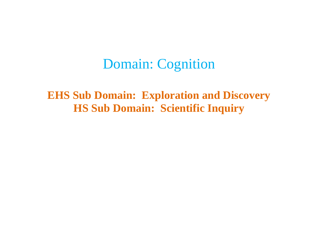## Domain: Cognition

**EHS Sub Domain: Exploration and Discovery HS Sub Domain: Scientific Inquiry**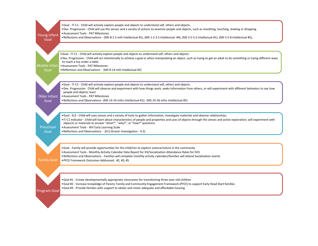| Young Infant          | • Goal - IT-C1 - Child will actively explore people and objects to understand self, others and objects.<br>• Dev. Progression - Child will use the senses and a variety of actions to examine people and objects, such as mouthing, touching, shaking or dropping.<br>• Assessment Tools - PAT Milestones<br>• Reflections and Observations - (MS B-1.5 mth Intellectual #1), (MS 1.5-3.5 Intellectual #4), (MS 3.5-5.5 Intellectual #1), (MS 5.5-8 Intellectual #5),                                         |
|-----------------------|---------------------------------------------------------------------------------------------------------------------------------------------------------------------------------------------------------------------------------------------------------------------------------------------------------------------------------------------------------------------------------------------------------------------------------------------------------------------------------------------------------------|
| Goal                  |                                                                                                                                                                                                                                                                                                                                                                                                                                                                                                               |
| Mobile Infant<br>Goal | • Goal - IT-C1 - Child will actively explore people and objects to understand self, others and objects.<br>• Dev. Progression - Child will act intentionally to achieve a goal or when manipulating an object, such as trying to get an adult to do something or trying different ways<br>to reach a toy under a table.<br>• Assessment Tools - PAT Milestones<br>• Reflections and Observations - (MS 8-14 mth Intellectual #2)                                                                              |
|                       |                                                                                                                                                                                                                                                                                                                                                                                                                                                                                                               |
| Older Infant          | • Goal - IT-C1 - Child will actively explore people and objects to understand self, others and objects.<br>. Dev. Progression- Child will observe and experiment with how things work, seeks informaiton from others, or will experiment with different behaviors to see how<br>people and objects react.<br>• Assessment Tools - PAT Milestones                                                                                                                                                              |
| Goal                  | . Reflections and Observations - (MS 14-24 mths Intellectual #1); (MS 24-36 mths Intellectual #5)                                                                                                                                                                                                                                                                                                                                                                                                             |
| Preschool<br>Goal     | • Goal - ELS - Child will uses senses and a variety of tools to gather information, investigate materials and observe relationships<br>• IT-C1 Indicator - Child will learn about characteristics of people and properties and uses of objects through the senses and active exploration; will experiment with<br>objeccts or materials to answer "what?", "why?", or "how?" questions.<br>• Assessment Tools - WV Early Learning Scale<br>• Reflections and Observations - (ELS Strand: Investigation - 4.3) |
| <b>Family Goal</b>    | • Goal - Family will provide opportunities for the child/ren to explore science/nature in the community<br>. Assessment Tools - Monthly Activity Calendar Data Report for HS/Socialization Attendance Rates for EHS<br>. Reflections and Observations - Families will complete monthly activity calendars/families will attend Socialization events<br>• PFCE Framework Outcomes Addressed: #2, #3, #5                                                                                                        |
|                       |                                                                                                                                                                                                                                                                                                                                                                                                                                                                                                               |
|                       | • Goal #1 - Create developmentally appropriate classrooms for transitioning three-year-old children<br>. Goal #2 - Increase knowledge of Parent, Family and Community Engagement Framework (PFCE) to support Early Head Start families<br>• Goal #3 - Provide families with support to obtain and retain adequate and affordable housing                                                                                                                                                                      |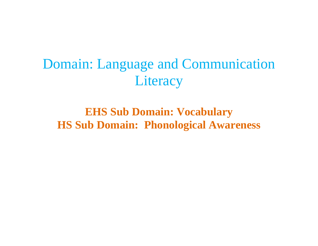# Domain: Language and Communication **Literacy**

## **EHS Sub Domain: Vocabulary HS Sub Domain: Phonological Awareness**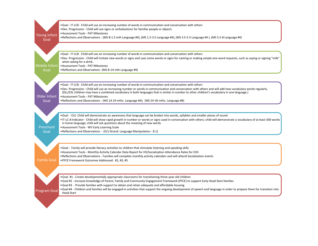|                     | • Goal - IT-LC8 - Child will use an increasing number of words in communication and conversation with others                                                                                  |
|---------------------|-----------------------------------------------------------------------------------------------------------------------------------------------------------------------------------------------|
|                     | . Dev. Progression - Child will use signs or verbalizations for familiar people or objects<br>• Assessment Tools - PAT Milestones                                                             |
| Young Infant        | • Reflections and Observations - (MS B-1.5 mth Language #4), (MS 1.5-3.5 Language #4), (MS 3.5-5.5 Language #4), (MS 5.5-8 Language #4)                                                       |
| Goal                |                                                                                                                                                                                               |
|                     |                                                                                                                                                                                               |
|                     |                                                                                                                                                                                               |
|                     | . Goal - IT-LC8 - Child will use an increasing number of words in communication and conversation with others                                                                                  |
|                     | . Dev. Progression - Child will imitate new words or signs and uses some words or signs for naming or making simple one-word requests, such as saying or signing "milk"                       |
|                     | when asking for a drink.                                                                                                                                                                      |
| Mobile Infant       | • Assessment Tools - PAT Milestones                                                                                                                                                           |
| Goal                | • Reflections and Observations - (MS 8-14 mth Language #9)                                                                                                                                    |
|                     |                                                                                                                                                                                               |
|                     |                                                                                                                                                                                               |
|                     | . Goal - IT-LC8 - Child will use an increasing number of words in communication and conversation with others                                                                                  |
|                     | . Dev. Progression - Child will use an increasing number or words in communication and conversation with others and will add new vocabulary words regularly.                                  |
|                     | (DLL/ESL children may have a combined vocabulary in both languages that is similar in number to other children's vocabulary in one language.)                                                 |
| Older Infant        | • Assessment Tools - PAT Milestones                                                                                                                                                           |
| Goal                | • Reflections and Observations - (MS 14-24 mths. Language #4); (MS 24-36 mths. Language #8)                                                                                                   |
|                     |                                                                                                                                                                                               |
|                     |                                                                                                                                                                                               |
|                     | . Goal - ELS- Child will demonstrate an awareness that language can be broken into words, syllables and smaller pieces of sound                                                               |
|                     | • IT-LC-8 Indicator - Child will show rapid growth in number or words or signs used in conversation with others; child will demonstrate a vocabulary of at least 300 words                    |
|                     | in home language; child will ask questions about the meaning of new words                                                                                                                     |
| Preschool           | • Assessment Tools - WV Early Learning Scale                                                                                                                                                  |
| Goal                | • Reflections and Observations - (ELS Strand: Language Manipulation - 8.1)                                                                                                                    |
|                     |                                                                                                                                                                                               |
|                     |                                                                                                                                                                                               |
|                     |                                                                                                                                                                                               |
|                     | • Goal - Family will provide literacy activities to children that stimulate listening and speaking skills                                                                                     |
|                     | . Assessment Tools - Monthly Activity Calendar Data Report for HS/Socialization Attendance Rates for EHS                                                                                      |
|                     | . Reflections and Observations - Families will complete monthly activity calendars and will attend Socialization events                                                                       |
| <b>Family Goal</b>  | . PFCE Framework Outcomes Addressed: #2, #3, #5                                                                                                                                               |
|                     |                                                                                                                                                                                               |
|                     |                                                                                                                                                                                               |
|                     |                                                                                                                                                                                               |
|                     | • Goal #1 - Create developmentally appropriate classrooms for transitioning three-year-old children                                                                                           |
|                     | • Goal #2 - Increase knowledge of Parent, Family and Community Engagement Framework (PFCE) to support Early Head Start families                                                               |
|                     | • Goal #3 - Provide families with support to obtain and retain adequate and affordable housing                                                                                                |
| <b>Program Goal</b> | • Goal #4 - Children and families will be engaged in activities that support the ongoing development of speech and language in order to prepare them for transition into<br><b>Head Start</b> |
|                     |                                                                                                                                                                                               |
|                     |                                                                                                                                                                                               |
|                     |                                                                                                                                                                                               |
|                     |                                                                                                                                                                                               |
|                     |                                                                                                                                                                                               |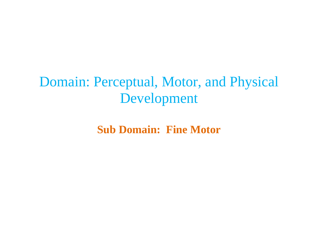# Domain: Perceptual, Motor, and Physical Development

**Sub Domain: Fine Motor**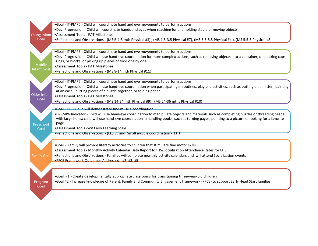|                       | .Goal - IT-PMP6 - Child will coordinate hand and eye movements to perform actions                                                                    |
|-----------------------|------------------------------------------------------------------------------------------------------------------------------------------------------|
|                       | . Dev. Progression - Child will coordinate hands and eyes when reaching for and holding stable or moving objects                                     |
| Young Infant          | • Assessment Tools - PAT Milestones                                                                                                                  |
| Goal                  | •Reflections and Observations - (MS B-1.5 mth Physical #3), (MS 1.5-3.5 Physical #7), (MS 3.5-5.5 Physical #4), (MS 5.5-8 Physical #8)               |
|                       |                                                                                                                                                      |
|                       | .Goal - IT-PMP6 - Child will coordinate hand and eye movements to perform actions                                                                    |
|                       | . Dev. Progression - Child will use hand-eye coordination for more complex actions, such as releasing objects into a container, or stacking cups,    |
|                       | rings, or blocks, or picking up pieces of food one by one.                                                                                           |
| Mobile<br>Infant Goal | • Assessment Tools - PAT Milestones                                                                                                                  |
|                       | . Reflections and Observations - (MS 8-14 mth Physical #11)                                                                                          |
|                       |                                                                                                                                                      |
|                       | .Goal - IT-PMP6 - Child will coordinate hand and eye movements to perform actions                                                                    |
|                       | . Dev. Progression - Child will use hand-eye coordination when participating in routines, play and activities, such as putting on a mitten, painting |
| Older Infant          | at an easel, putting pieces of a puzzle together, or folding paper.<br>• Assessment Tools - PAT Milestones                                           |
| Goal                  |                                                                                                                                                      |
|                       | •Reflections and Observations - (MS 14-24 mth Physical #9); (MS 24-36 mths Physical #10)                                                             |
|                       | • Goal - ELS - Child will demonstrate fine muscle coordination                                                                                       |
|                       | . IT-PMP6 Indicator - Child will use hand-eye coordination to manipulate objects and materials such as completing puzzles or threading beads         |
|                       | with large holes; child will use hand-eye coordination in handling books, such as turning pages, pointing to a picture or looking for a favorite     |
| Preschool             | page                                                                                                                                                 |
| Goal                  | •Assessment Tools -WV Early Learning Scale                                                                                                           |
|                       | . Reflections and Observations - (ELS Strand: Small muscle coordination - 11.1)                                                                      |
|                       |                                                                                                                                                      |
|                       | . Goal - Family will provide literacy activities to children that stimulate fine motor skills                                                        |
|                       | . Assessment Tools - Monthly Activity Calendar Data Report for HS/Socialization Attendance Rates for EHS                                             |
| <b>Family Goal</b>    | . Reflections and Observations - Families will complete monthly activity calendars and will attend Socialization events                              |
|                       | .PFCE Framework Outcomes Addressed: #2, #3, #5                                                                                                       |
|                       |                                                                                                                                                      |
|                       |                                                                                                                                                      |
|                       | •Goal #1 - Create developmentally appropriate classrooms for transitioning three-year-old children                                                   |
| Program<br>Goal       | . Goal #2 - Increase knowledge of Parent, Family and Community Engagement Framework (PFCE) to support Early Head Start families                      |
|                       |                                                                                                                                                      |
|                       |                                                                                                                                                      |
|                       |                                                                                                                                                      |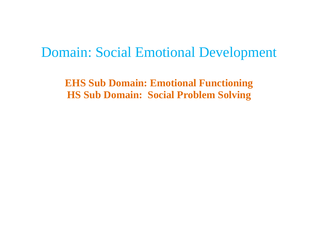## Domain: Social Emotional Development

**EHS Sub Domain: Emotional Functioning HS Sub Domain: Social Problem Solving**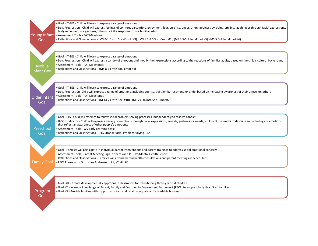| Young Infant                 | . Goal - IT-SE6 - Child will learn to express a range of emotions<br>. Dev. Progression - Child will express feelings of comfort, discomfort, enjoyment, fear, surprise, anger, or unhappiness by crying, smiling, laughing or through facial expressions,<br>body movements or gestures, often to elicit a response from a familiar adult.<br>• Assessment Tools - PAT Milestones                                                                                                         |
|------------------------------|--------------------------------------------------------------------------------------------------------------------------------------------------------------------------------------------------------------------------------------------------------------------------------------------------------------------------------------------------------------------------------------------------------------------------------------------------------------------------------------------|
| Goal                         | • Reflections and Observations - (MS B-1.5 mth Soc.-Emot. #3), (MS 1.5-3.5 Soc.-Emot #5), (MS 3.5-5.5 Soc.-Emot #5), (MS 5.5-8 Soc.-Emot #6)                                                                                                                                                                                                                                                                                                                                               |
| <b>Mobile</b><br>Infant Goal | . Goal - IT-SE6 - Child will learn to express a range of emotions<br>. Dev. Progression - Child will express a variety of emotions and modify their expressions according to the reactions of familiar adults, based on the child's cultural background.<br>• Assessment Tools - PAT Milestones<br>. Reflections and Observations - (MS 8-14 mth Soc.-Emot #4)                                                                                                                             |
| <b>Older Infant</b><br>Goal  | . Goal - IT-SE6 - Child will learn to express a range of emotions<br>. Dev. Progression -Child will express a range of emotions, including suprise, guilt, embarrassment, or pride, based on increasing awareness of their effects on others.<br>• Assessment Tools - PAT Milestones<br>• Reflections and Observations - (M 14-24 mth Soc. #10) ; (MS 24-36 mth Soc.-Emot #7)                                                                                                              |
| Preschool<br>Goal            | . Goal - ELS - Child will attempt to follow social problem solving processes independently to resolve conflict<br>. IT-SE6 Indicator - Child will express a variety of emotions through facial expressions, sounds, gestures, or words; child will use words to describe some feelings or emotions<br>that reflect an awareness of other people's emotions.<br>• Assessment Tools - WV Early Learning Scale<br>• Reflections and Observations - (ELS Strand: Social Problem Solving - 5.4) |
| <b>Family Goal</b>           | . Goal - Families will participate in individual parent interventions and parent trainings to address social emotional concerns<br>. Assessment Tools - Parent Meeting Sign In Sheets and PSTEPS Mental Health Report<br>. Reflections and Observations - Families will attend mental health consultations and parent meetings as scheduled<br>. PFCE Framework Outcomes Addressed: #1, #2, #4, #6                                                                                         |
|                              | . Goal #1 - Create developmentally appropriate classrooms for transitioning three-year-old children<br>. Goal #2 - Increase knowledge of Parent, Family and Community Engagement Framework (PFCE) to support Early Head Start families                                                                                                                                                                                                                                                     |